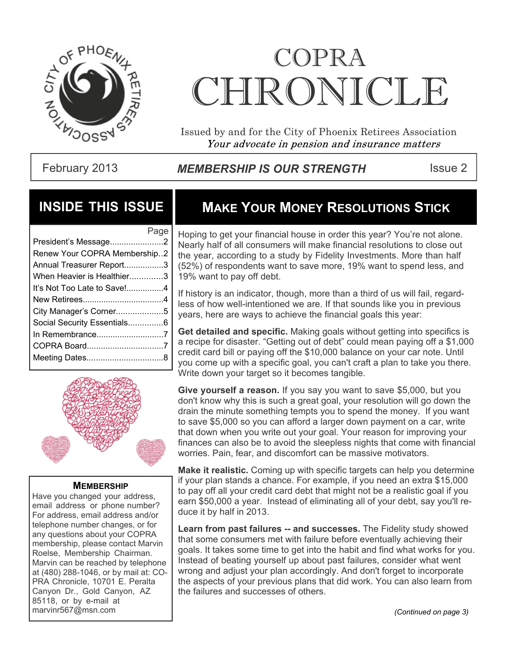

# COPRA CHRONICLE.

Issued by and for the City of Phoenix Retirees Association Your advocate in pension and insurance matters

February 2013 **MEMBERSHIP IS OUR STRENGTH** Issue 2

## **INSIDE THIS ISSUE**

|                              | Page |
|------------------------------|------|
| President's Message2         |      |
| Renew Your COPRA Membership2 |      |
| Annual Treasurer Report3     |      |
| When Heavier is Healthier3   |      |
| It's Not Too Late to Save !4 |      |
|                              |      |
| City Manager's Corner5       |      |
| Social Security Essentials6  |      |
| In Remembrance7              |      |
|                              |      |
|                              |      |
|                              |      |



#### **MEMBERSHIP**

Have you changed your address, email address or phone number? For address, email address and/or telephone number changes, or for any questions about your COPRA membership, please contact Marvin Roelse, Membership Chairman. Marvin can be reached by telephone at (480) 288-1046, or by mail at: CO-PRA Chronicle, 10701 E. Peralta Canyon Dr., Gold Canyon, AZ 85118, or by e-mail at marvinr567@msn.com *(Continued on page 3)*

# **MAKE YOUR MONEY RESOLUTIONS STICK**

Hoping to get your financial house in order this year? You're not alone. Nearly half of all consumers will make financial resolutions to close out the year, according to a study by Fidelity Investments. More than half (52%) of respondents want to save more, 19% want to spend less, and 19% want to pay off debt.

If history is an indicator, though, more than a third of us will fail, regardless of how well-intentioned we are. If that sounds like you in previous years, here are ways to achieve the financial goals this year:

**Get detailed and specific.** Making goals without getting into specifics is a recipe for disaster. "Getting out of debt" could mean paying off a \$1,000 credit card bill or paying off the \$10,000 balance on your car note. Until you come up with a specific goal, you can't craft a plan to take you there. Write down your target so it becomes tangible.

**Give yourself a reason.** If you say you want to save \$5,000, but you don't know why this is such a great goal, your resolution will go down the drain the minute something tempts you to spend the money. If you want to save \$5,000 so you can afford a larger down payment on a car, write that down when you write out your goal. Your reason for improving your finances can also be to avoid the sleepless nights that come with financial worries. Pain, fear, and discomfort can be massive motivators.

**Make it realistic.** Coming up with specific targets can help you determine if your plan stands a chance. For example, if you need an extra \$15,000 to pay off all your credit card debt that might not be a realistic goal if you earn \$50,000 a year. Instead of eliminating all of your debt, say you'll reduce it by half in 2013.

**Learn from past failures -- and successes.** The Fidelity study showed that some consumers met with failure before eventually achieving their goals. It takes some time to get into the habit and find what works for you. Instead of beating yourself up about past failures, consider what went wrong and adjust your plan accordingly. And don't forget to incorporate the aspects of your previous plans that did work. You can also learn from the failures and successes of others.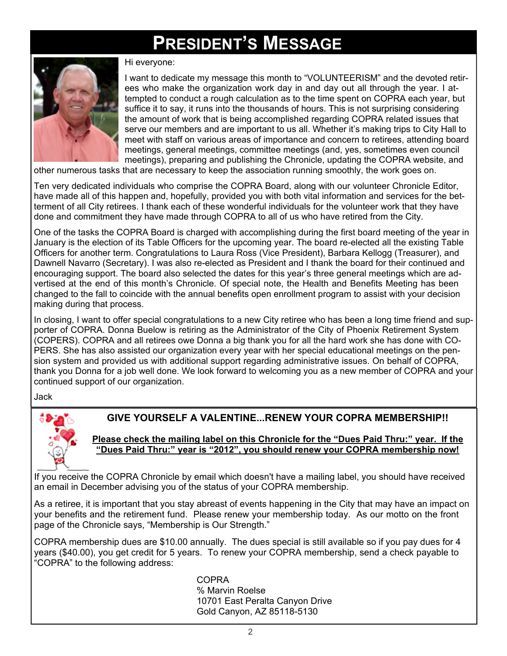# **PRESIDENT'S MESSAGE**



Hi everyone:

I want to dedicate my message this month to "VOLUNTEERISM" and the devoted retirees who make the organization work day in and day out all through the year. I attempted to conduct a rough calculation as to the time spent on COPRA each year, but suffice it to say, it runs into the thousands of hours. This is not surprising considering the amount of work that is being accomplished regarding COPRA related issues that serve our members and are important to us all. Whether it's making trips to City Hall to meet with staff on various areas of importance and concern to retirees, attending board meetings, general meetings, committee meetings (and, yes, sometimes even council meetings), preparing and publishing the Chronicle, updating the COPRA website, and

other numerous tasks that are necessary to keep the association running smoothly, the work goes on.

Ten very dedicated individuals who comprise the COPRA Board, along with our volunteer Chronicle Editor, have made all of this happen and, hopefully, provided you with both vital information and services for the betterment of all City retirees. I thank each of these wonderful individuals for the volunteer work that they have done and commitment they have made through COPRA to all of us who have retired from the City.

One of the tasks the COPRA Board is charged with accomplishing during the first board meeting of the year in January is the election of its Table Officers for the upcoming year. The board re-elected all the existing Table Officers for another term. Congratulations to Laura Ross (Vice President), Barbara Kellogg (Treasurer), and Dawnell Navarro (Secretary). I was also re-elected as President and I thank the board for their continued and encouraging support. The board also selected the dates for this year's three general meetings which are advertised at the end of this month's Chronicle. Of special note, the Health and Benefits Meeting has been changed to the fall to coincide with the annual benefits open enrollment program to assist with your decision making during that process.

In closing, I want to offer special congratulations to a new City retiree who has been a long time friend and supporter of COPRA. Donna Buelow is retiring as the Administrator of the City of Phoenix Retirement System (COPERS). COPRA and all retirees owe Donna a big thank you for all the hard work she has done with CO-PERS. She has also assisted our organization every year with her special educational meetings on the pension system and provided us with additional support regarding administrative issues. On behalf of COPRA, thank you Donna for a job well done. We look forward to welcoming you as a new member of COPRA and your continued support of our organization.

Jack



#### **GIVE YOURSELF A VALENTINE...RENEW YOUR COPRA MEMBERSHIP!!**

#### **Please check the mailing label on this Chronicle for the "Dues Paid Thru:" year. If the "Dues Paid Thru:" year is "2012", you should renew your COPRA membership now!**

If you receive the COPRA Chronicle by email which doesn't have a mailing label, you should have received an email in December advising you of the status of your COPRA membership.

As a retiree, it is important that you stay abreast of events happening in the City that may have an impact on your benefits and the retirement fund. Please renew your membership today. As our motto on the front page of the Chronicle says, "Membership is Our Strength."

COPRA membership dues are \$10.00 annually. The dues special is still available so if you pay dues for 4 years (\$40.00), you get credit for 5 years. To renew your COPRA membership, send a check payable to "COPRA" to the following address:

> COPRA % Marvin Roelse 10701 East Peralta Canyon Drive Gold Canyon, AZ 85118-5130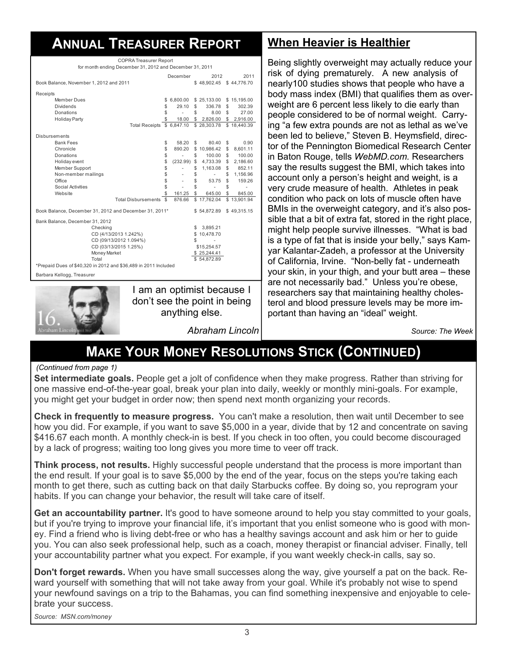# **ANNUAL TREASURER REPORT**

| <b>COPRA Treasurer Report</b>                                                        |                            |                          |             |                   |               |             |
|--------------------------------------------------------------------------------------|----------------------------|--------------------------|-------------|-------------------|---------------|-------------|
| for month ending December 31, 2012 and December 31, 2011                             |                            |                          |             |                   |               |             |
|                                                                                      |                            | December                 |             | 2012              |               | 2011        |
| Book Balance, November 1, 2012 and 2011                                              |                            |                          |             | \$48,902.45       |               | \$44,776.70 |
| Receipts                                                                             |                            |                          |             |                   |               |             |
| Member Dues                                                                          |                            | \$6,800.00               |             | \$25,133.00       |               | \$15,195.00 |
| <b>Dividends</b>                                                                     | \$                         | $29.10$ \$               |             | 336.78            | \$            | 302.39      |
| Donations                                                                            | \$                         | $\sim$                   | \$          | 8.00              | \$            | 27.00       |
| Holiday Party                                                                        | \$                         |                          |             | 18.00 \$ 2,826.00 | \$            | 2,916.00    |
|                                                                                      | Total Receipts \$ 6,847.10 |                          |             | \$28,303.78       |               | \$18,440.39 |
| Disbursements                                                                        |                            |                          |             |                   |               |             |
| <b>Bank Fees</b>                                                                     | \$                         | 58.20                    | \$          | 80.40             | \$            | 0.90        |
| Chronicle                                                                            | \$                         | 890.20                   |             | \$10,986.42       | \$            | 8,601.11    |
| Donations                                                                            | \$                         | $\sim$                   | \$          | 100.00            | \$            | 100.00      |
| Holiday event                                                                        | \$                         | (232.99)                 |             | \$4,733.39        | $\mathbb{S}$  | 2,186.60    |
| Member Support                                                                       | \$                         | $\overline{\phantom{a}}$ | \$          | 1,163.08          | \$            | 852.11      |
| Non-member mailings                                                                  | \$                         | $\overline{\phantom{a}}$ | \$          | $\sim 100$        | \$            | 1.156.96    |
| Office                                                                               | \$                         | $\sim$                   | \$          | 53.75             | ${\mathbb S}$ | 159.26      |
| Social Activities                                                                    | \$                         | $\sim$                   | \$          | $\sim$            | \$            | ä,          |
| Website                                                                              | \$                         | 161.25                   | \$          | 645.00            | \$            | 845.00      |
|                                                                                      | Total Disbursements \$     | 876.66                   |             | \$17,762.04       |               | \$13,901.94 |
| Book Balance, December 31, 2012 and December 31, 2011*<br>\$49,315.15<br>\$54,872.89 |                            |                          |             |                   |               |             |
| Bank Balance, December 31, 2012                                                      |                            |                          |             |                   |               |             |
| Checking                                                                             |                            |                          | \$          | 3.895.21          |               |             |
| CD (4/13/2013 1.242%)                                                                |                            |                          |             | \$10,478.70       |               |             |
| CD (09/13/2012 1.094%)                                                               |                            |                          | \$          | ä,                |               |             |
| CD (03/13/2015 1.25%)                                                                |                            |                          | \$15,254.57 |                   |               |             |
| Money Market                                                                         |                            |                          |             | \$25,244.41       |               |             |
| Total                                                                                |                            |                          |             | \$54,872.89       |               |             |
| *Prepaid Dues of \$40,320 in 2012 and \$36,489 in 2011 Included                      |                            |                          |             |                   |               |             |
| Barbara Kellogg, Treasurer                                                           |                            |                          |             |                   |               |             |
|                                                                                      |                            |                          |             |                   |               |             |



I am an optimist because I don't see the point in being anything else.

*Abraham Lincoln*

### **When Heavier is Healthier**

Being slightly overweight may actually reduce your risk of dying prematurely. A new analysis of nearly100 studies shows that people who have a body mass index (BMI) that qualifies them as overweight are 6 percent less likely to die early than people considered to be of normal weight. Carrying "a few extra pounds are not as lethal as we've been led to believe," Steven B. Heymsfield, director of the Pennington Biomedical Research Center in Baton Rouge, tells *WebMD.com.* Researchers say the results suggest the BMI, which takes into account only a person's height and weight, is a very crude measure of health. Athletes in peak condition who pack on lots of muscle often have BMIs in the overweight category, and it's also possible that a bit of extra fat, stored in the right place, might help people survive illnesses. "What is bad is a type of fat that is inside your belly," says Kamyar Kalantar-Zadeh, a professor at the University of California, Irvine. "Non-belly fat - underneath your skin, in your thigh, and your butt area – these are not necessarily bad." Unless you're obese, researchers say that maintaining healthy cholesterol and blood pressure levels may be more important than having an "ideal" weight.

*Source: The Week*

# **MAKE YOUR MONEY RESOLUTIONS STICK (CONTINUED)**

#### *(Continued from page 1)*

**Set intermediate goals.** People get a jolt of confidence when they make progress. Rather than striving for one massive end-of-the-year goal, break your plan into daily, weekly or monthly mini-goals. For example, you might get your budget in order now; then spend next month organizing your records.

**Check in frequently to measure progress.** You can't make a resolution, then wait until December to see how you did. For example, if you want to save \$5,000 in a year, divide that by 12 and concentrate on saving \$416.67 each month. A monthly check-in is best. If you check in too often, you could become discouraged by a lack of progress; waiting too long gives you more time to veer off track.

**Think process, not results.** Highly successful people understand that the process is more important than the end result. If your goal is to save \$5,000 by the end of the year, focus on the steps you're taking each month to get there, such as cutting back on that daily Starbucks coffee. By doing so, you reprogram your habits. If you can change your behavior, the result will take care of itself.

**Get an accountability partner.** It's good to have someone around to help you stay committed to your goals, but if you're trying to improve your financial life, it's important that you enlist someone who is good with money. Find a friend who is living debt-free or who has a healthy savings account and ask him or her to guide you. You can also seek professional help, such as a coach, money therapist or financial adviser. Finally, tell your accountability partner what you expect. For example, if you want weekly check-in calls, say so.

**Don't forget rewards.** When you have small successes along the way, give yourself a pat on the back. Reward yourself with something that will not take away from your goal. While it's probably not wise to spend your newfound savings on a trip to the Bahamas, you can find something inexpensive and enjoyable to celebrate your success.

*Source: MSN.com/money*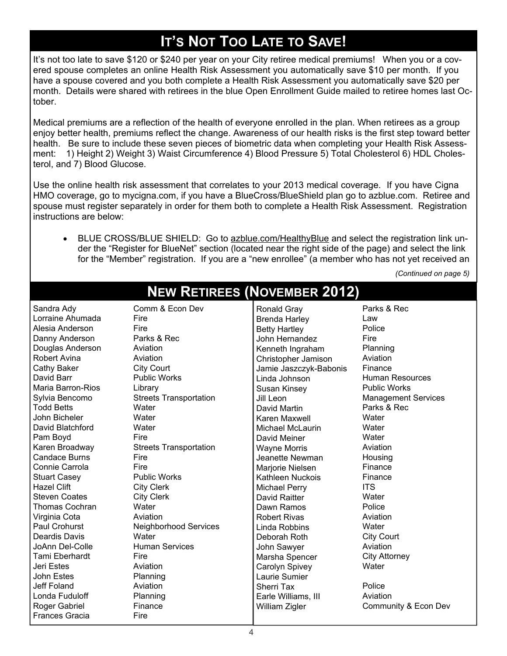# **IT'S NOT TOO LATE TO SAVE!**

It's not too late to save \$120 or \$240 per year on your City retiree medical premiums! When you or a covered spouse completes an online Health Risk Assessment you automatically save \$10 per month. If you have a spouse covered and you both complete a Health Risk Assessment you automatically save \$20 per month. Details were shared with retirees in the blue Open Enrollment Guide mailed to retiree homes last October.

Medical premiums are a reflection of the health of everyone enrolled in the plan. When retirees as a group enjoy better health, premiums reflect the change. Awareness of our health risks is the first step toward better health. Be sure to include these seven pieces of biometric data when completing your Health Risk Assessment: 1) Height 2) Weight 3) Waist Circumference 4) Blood Pressure 5) Total Cholesterol 6) HDL Cholesterol, and 7) Blood Glucose.

Use the online health risk assessment that correlates to your 2013 medical coverage. If you have Cigna HMO coverage, go to mycigna.com, if you have a BlueCross/BlueShield plan go to azblue.com. Retiree and spouse must register separately in order for them both to complete a Health Risk Assessment. Registration instructions are below:

 BLUE CROSS/BLUE SHIELD: Go to azblue.com/HealthyBlue and select the registration link under the "Register for BlueNet" section (located near the right side of the page) and select the link for the "Member" registration. If you are a "new enrollee" (a member who has not yet received an

 *(Continued on page 5)*

| Sandra Ady            | Comm & Econ Dev               | Ronald Gray            | Parks & Rec                |
|-----------------------|-------------------------------|------------------------|----------------------------|
| Lorraine Ahumada      | Fire                          | <b>Brenda Harley</b>   | Law                        |
| Alesia Anderson       | Fire                          | <b>Betty Hartley</b>   | Police                     |
| Danny Anderson        | Parks & Rec                   | John Hernandez         | Fire                       |
| Douglas Anderson      | Aviation                      | Kenneth Ingraham       | Planning                   |
| Robert Avina          | Aviation                      | Christopher Jamison    | Aviation                   |
| Cathy Baker           | City Court                    | Jamie Jaszczyk-Babonis | Finance                    |
| David Barr            | <b>Public Works</b>           | Linda Johnson          | <b>Human Resources</b>     |
| Maria Barron-Rios     | Library                       | Susan Kinsey           | <b>Public Works</b>        |
| Sylvia Bencomo        | <b>Streets Transportation</b> | Jill Leon              | <b>Management Services</b> |
| <b>Todd Betts</b>     | Water                         | David Martin           | Parks & Rec                |
| John Bicheler         | Water                         | Karen Maxwell          | Water                      |
| David Blatchford      | Water                         | Michael McLaurin       | Water                      |
| Pam Boyd              | Fire                          | David Meiner           | Water                      |
| Karen Broadway        | <b>Streets Transportation</b> | <b>Wayne Morris</b>    | Aviation                   |
| <b>Candace Burns</b>  | Fire                          | Jeanette Newman        | Housing                    |
| Connie Carrola        | Fire                          | Marjorie Nielsen       | Finance                    |
| <b>Stuart Casey</b>   | <b>Public Works</b>           | Kathleen Nuckois       | Finance                    |
| <b>Hazel Clift</b>    | <b>City Clerk</b>             | Michael Perry          | <b>ITS</b>                 |
| <b>Steven Coates</b>  | <b>City Clerk</b>             | David Raitter          | Water                      |
| <b>Thomas Cochran</b> | Water                         | Dawn Ramos             | Police                     |
| Virginia Cota         | Aviation                      | <b>Robert Rivas</b>    | Aviation                   |
| Paul Crohurst         | <b>Neighborhood Services</b>  | Linda Robbins          | Water                      |
| Deardis Davis         | Water                         | Deborah Roth           | <b>City Court</b>          |
| JoAnn Del-Colle       | <b>Human Services</b>         | John Sawyer            | Aviation                   |
| Tami Eberhardt        | Fire                          | Marsha Spencer         | <b>City Attorney</b>       |
| Jeri Estes            | Aviation                      | Carolyn Spivey         | Water                      |
| John Estes            | Planning                      | Laurie Sumier          |                            |
| Jeff Foland           | Aviation                      | Sherri Tax             | Police                     |
| Londa Fuduloff        | Planning                      | Earle Williams, III    | Aviation                   |
| Roger Gabriel         | Finance                       | William Zigler         | Community & Econ Dev       |
| <b>Frances Gracia</b> | Fire                          |                        |                            |

# **NEW RETIREES (NOVEMBER 2012)**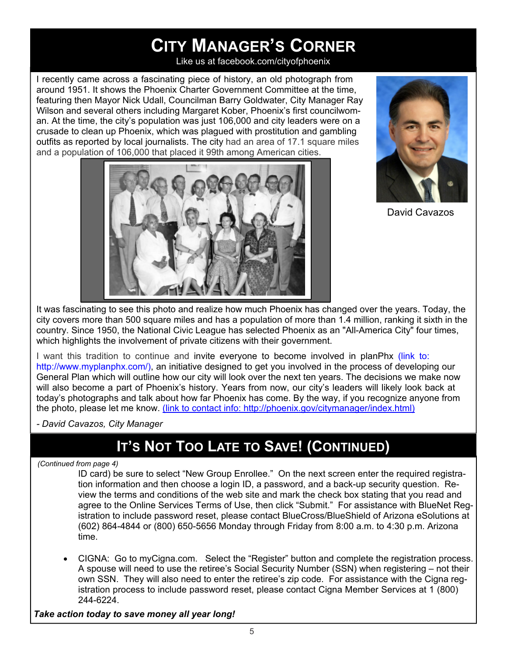# **CITY MANAGER'S CORNER**

Like us at facebook.com/cityofphoenix

I recently came across a fascinating piece of history, an old photograph from around 1951. It shows the Phoenix Charter Government Committee at the time, featuring then Mayor Nick Udall, Councilman Barry Goldwater, City Manager Ray Wilson and several others including Margaret Kober, Phoenix's first councilwoman. At the time, the city's population was just 106,000 and city leaders were on a crusade to clean up Phoenix, which was plagued with prostitution and gambling outfits as reported by local journalists. The city had an area of 17.1 square miles and a population of 106,000 that placed it 99th among American cities.





David Cavazos

It was fascinating to see this photo and realize how much Phoenix has changed over the years. Today, the city covers more than 500 square miles and has a population of more than 1.4 million, ranking it sixth in the country. Since 1950, the National Civic League has selected Phoenix as an "All-America City" four times, which highlights the involvement of private citizens with their government.

I want this tradition to continue and invite everyone to become involved in planPhx (link to: http://www.myplanphx.com/), an initiative designed to get you involved in the process of developing our General Plan which will outline how our city will look over the next ten years. The decisions we make now will also become a part of Phoenix's history. Years from now, our city's leaders will likely look back at today's photographs and talk about how far Phoenix has come. By the way, if you recognize anyone from the photo, please let me know. (link to contact info: http://phoenix.gov/citymanager/index.html)

*- David Cavazos, City Manager*

# **IT'S NOT TOO LATE TO SAVE! (CONTINUED)**

 *(Continued from page 4)*

ID card) be sure to select "New Group Enrollee." On the next screen enter the required registration information and then choose a login ID, a password, and a back-up security question. Review the terms and conditions of the web site and mark the check box stating that you read and agree to the Online Services Terms of Use, then click "Submit." For assistance with BlueNet Registration to include password reset, please contact BlueCross/BlueShield of Arizona eSolutions at (602) 864-4844 or (800) 650-5656 Monday through Friday from 8:00 a.m. to 4:30 p.m. Arizona time.

 CIGNA: Go to myCigna.com. Select the "Register" button and complete the registration process. A spouse will need to use the retiree's Social Security Number (SSN) when registering – not their own SSN. They will also need to enter the retiree's zip code. For assistance with the Cigna registration process to include password reset, please contact Cigna Member Services at 1 (800) 244-6224.

#### *Take action today to save money all year long!*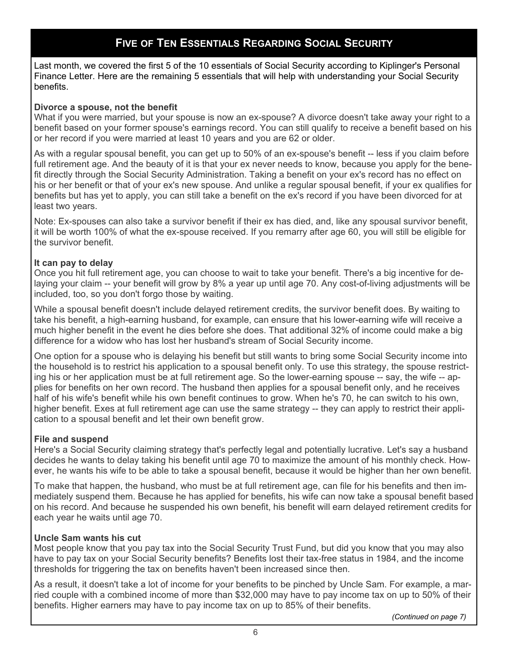#### **FIVE OF TEN ESSENTIALS REGARDING SOCIAL SECURITY**

Last month, we covered the first 5 of the 10 essentials of Social Security according to Kiplinger's Personal Finance Letter. Here are the remaining 5 essentials that will help with understanding your Social Security benefits.

#### **Divorce a spouse, not the benefit**

What if you were married, but your spouse is now an ex-spouse? A divorce doesn't take away your right to a benefit based on your former spouse's earnings record. You can still qualify to receive a benefit based on his or her record if you were married at least 10 years and you are 62 or older.

As with a regular spousal benefit, you can get up to 50% of an ex-spouse's benefit -- less if you claim before full retirement age. And the beauty of it is that your ex never needs to know, because you apply for the benefit directly through the Social Security Administration. Taking a benefit on your ex's record has no effect on his or her benefit or that of your ex's new spouse. And unlike a regular spousal benefit, if your ex qualifies for benefits but has yet to apply, you can still take a benefit on the ex's record if you have been divorced for at least two years.

Note: Ex-spouses can also take a survivor benefit if their ex has died, and, like any spousal survivor benefit, it will be worth 100% of what the ex-spouse received. If you remarry after age 60, you will still be eligible for the survivor benefit.

#### **It can pay to delay**

Once you hit full retirement age, you can choose to wait to take your benefit. There's a big incentive for delaying your claim -- your benefit will grow by 8% a year up until age 70. Any cost-of-living adjustments will be included, too, so you don't forgo those by waiting.

While a spousal benefit doesn't include delayed retirement credits, the survivor benefit does. By waiting to take his benefit, a high-earning husband, for example, can ensure that his lower-earning wife will receive a much higher benefit in the event he dies before she does. That additional 32% of income could make a big difference for a widow who has lost her husband's stream of Social Security income.

One option for a spouse who is delaying his benefit but still wants to bring some Social Security income into the household is to restrict his application to a spousal benefit only. To use this strategy, the spouse restricting his or her application must be at full retirement age. So the lower-earning spouse -- say, the wife -- applies for benefits on her own record. The husband then applies for a spousal benefit only, and he receives half of his wife's benefit while his own benefit continues to grow. When he's 70, he can switch to his own, higher benefit. Exes at full retirement age can use the same strategy -- they can apply to restrict their application to a spousal benefit and let their own benefit grow.

#### **File and suspend**

Here's a Social Security claiming strategy that's perfectly legal and potentially lucrative. Let's say a husband decides he wants to delay taking his benefit until age 70 to maximize the amount of his monthly check. However, he wants his wife to be able to take a spousal benefit, because it would be higher than her own benefit.

To make that happen, the husband, who must be at full retirement age, can file for his benefits and then immediately suspend them. Because he has applied for benefits, his wife can now take a spousal benefit based on his record. And because he suspended his own benefit, his benefit will earn delayed retirement credits for each year he waits until age 70.

#### **Uncle Sam wants his cut**

Most people know that you pay tax into the Social Security Trust Fund, but did you know that you may also have to pay tax on your Social Security benefits? Benefits lost their tax-free status in 1984, and the income thresholds for triggering the tax on benefits haven't been increased since then.

As a result, it doesn't take a lot of income for your benefits to be pinched by Uncle Sam. For example, a married couple with a combined income of more than \$32,000 may have to pay income tax on up to 50% of their benefits. Higher earners may have to pay income tax on up to 85% of their benefits.

*(Continued on page 7)*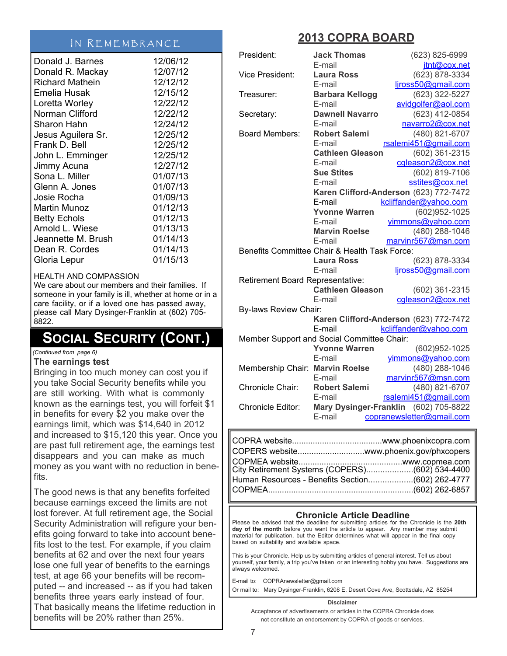#### IN REMEMBRANCE

|                        | 12/06/12 |
|------------------------|----------|
| Donald J. Barnes       |          |
| Donald R. Mackay       | 12/07/12 |
| <b>Richard Mathein</b> | 12/12/12 |
| Emelia Husak           | 12/15/12 |
| Loretta Worley         | 12/22/12 |
| Norman Clifford        | 12/22/12 |
| Sharon Hahn            | 12/24/12 |
| Jesus Aguilera Sr.     | 12/25/12 |
| Frank D. Bell          | 12/25/12 |
| John L. Emminger       | 12/25/12 |
| Jimmy Acuna            | 12/27/12 |
| Sona L. Miller         | 01/07/13 |
| Glenn A. Jones         | 01/07/13 |
| Josie Rocha            | 01/09/13 |
| Martin Munoz           | 01/12/13 |
| <b>Betty Echols</b>    | 01/12/13 |
| Arnold L. Wiese        | 01/13/13 |
| Jeannette M. Brush     | 01/14/13 |
| Dean R. Cordes         | 01/14/13 |
| Gloria Lepur           | 01/15/13 |

#### HEALTH AND COMPASSION

We care about our members and their families. If someone in your family is ill, whether at home or in a care facility, or if a loved one has passed away, please call Mary Dysinger-Franklin at (602) 705- 8822.

### **SOCIAL SECURITY (CONT.)**

*(Continued from page 6)*

#### **The earnings test**

Bringing in too much money can cost you if you take Social Security benefits while you are still working. With what is commonly known as the earnings test, you will forfeit \$1 in benefits for every \$2 you make over the earnings limit, which was \$14,640 in 2012 and increased to \$15,120 this year. Once you are past full retirement age, the earnings test disappears and you can make as much money as you want with no reduction in benefits.

The good news is that any benefits forfeited because earnings exceed the limits are not lost forever. At full retirement age, the Social Security Administration will refigure your benefits going forward to take into account benefits lost to the test. For example, if you claim benefits at 62 and over the next four years lose one full year of benefits to the earnings test, at age 66 your benefits will be recomputed -- and increased -- as if you had taken benefits three years early instead of four. That basically means the lifetime reduction in benefits will be 20% rather than 25%.

### **2013 COPRA BOARD**

| President:                       | <b>Jack Thomas</b>                            | (623) 825-6999                         |
|----------------------------------|-----------------------------------------------|----------------------------------------|
|                                  | E-mail                                        | jtnt@cox.net                           |
| Vice President:                  | <b>Laura Ross</b>                             | (623) 878-3334                         |
|                                  | E-mail                                        | ljross50@gmail.com                     |
| Treasurer:                       | <b>Barbara Kellogg</b>                        | (623) 322-5227                         |
|                                  | E-mail                                        | avidgolfer@aol.com                     |
| Secretary:                       | <b>Dawnell Navarro</b>                        | (623) 412-0854                         |
|                                  | E-mail                                        | navarro2@cox.net                       |
| <b>Board Members:</b>            | <b>Robert Salemi</b>                          | (480) 821-6707                         |
|                                  | E-mail                                        | rsalemi451@gmail.com                   |
|                                  | <b>Cathleen Gleason</b>                       | (602) 361-2315                         |
|                                  | E-mail                                        | cgleason2@cox.net                      |
|                                  | <b>Sue Stites</b>                             | (602) 819-7106                         |
|                                  | E-mail                                        | sstites@cox.net                        |
|                                  |                                               | Karen Clifford-Anderson (623) 772-7472 |
|                                  | E-mail                                        | kcliffander@yahoo.com                  |
|                                  | <b>Yvonne Warren</b>                          | (602)952-1025                          |
|                                  | E-mail                                        | vimmons@yahoo.com                      |
|                                  | <b>Marvin Roelse</b>                          | (480) 288-1046                         |
|                                  | E-mail                                        | marvinr567@msn.com                     |
|                                  | Benefits Committee Chair & Health Task Force: |                                        |
|                                  | <b>Laura Ross</b>                             | (623) 878-3334                         |
|                                  | E-mail                                        | ljross50@gmail.com                     |
| Retirement Board Representative: |                                               |                                        |
|                                  | <b>Cathleen Gleason</b>                       | (602) 361-2315                         |
|                                  | E-mail                                        | cgleason2@cox.net                      |
| <b>By-laws Review Chair:</b>     |                                               |                                        |
|                                  |                                               | Karen Clifford-Anderson (623) 772-7472 |
|                                  | E-mail                                        | kcliffander@yahoo.com                  |
|                                  | Member Support and Social Committee Chair:    |                                        |
|                                  | <b>Yvonne Warren</b>                          | (602)952-1025                          |
|                                  | E-mail                                        | yimmons@yahoo.com                      |
| Membership Chair: Marvin Roelse  |                                               | (480) 288-1046                         |
|                                  | E-mail                                        | marvinr567@msn.com                     |
| Chronicle Chair:                 | <b>Robert Salemi</b>                          | (480) 821-6707                         |
|                                  | E-mail                                        | rsalemi451@gmail.com                   |
| Chronicle Editor:                |                                               | Mary Dysinger-Franklin (602) 705-8822  |
|                                  | E-mail                                        | copranewsletter@gmail.com              |
|                                  |                                               |                                        |

| COPERS websitewww.phoenix.gov/phxcopers           |  |
|---------------------------------------------------|--|
|                                                   |  |
| Human Resources - Benefits Section (602) 262-4777 |  |
|                                                   |  |

#### **Chronicle Article Deadline**

Please be advised that the deadline for submitting articles for the Chronicle is the **20th day of the month** before you want the article to appear. Any member may submit material for publication, but the Editor determines what will appear in the final copy based on suitability and available space.

This is your Chronicle. Help us by submitting articles of general interest. Tell us about yourself, your family, a trip you've taken or an interesting hobby you have. Suggestions are always welcomed.

E-mail to: COPRAnewsletter@gmail.com Or mail to: Mary Dysinger-Franklin, 6208 E. Desert Cove Ave, Scottsdale, AZ 85254

#### **Disclaimer**

Acceptance of advertisements or articles in the COPRA Chronicle does not constitute an endorsement by COPRA of goods or services.